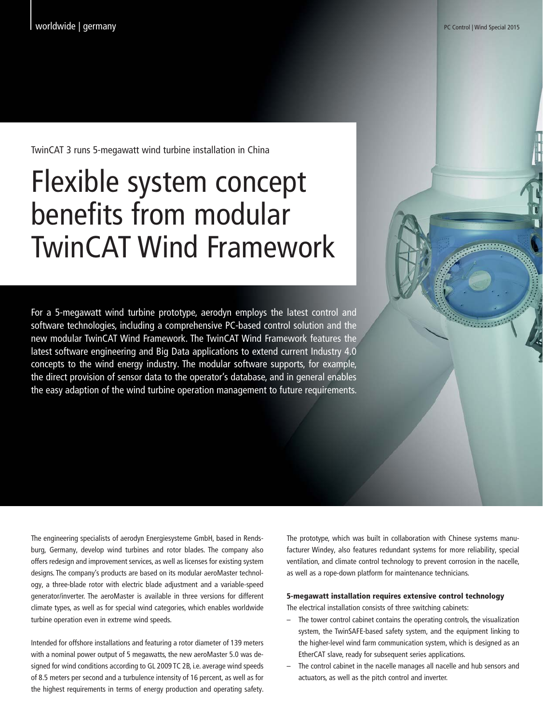TwinCAT 3 runs 5-megawatt wind turbine installation in China

## Flexible system concept benefits from modular TwinCAT Wind Framework

For a 5-megawatt wind turbine prototype, aerodyn employs the latest control and software technologies, including a comprehensive PC-based control solution and the new modular TwinCAT Wind Framework. The TwinCAT Wind Framework features the latest software engineering and Big Data applications to extend current Industry 4.0 concepts to the wind energy industry. The modular software supports, for example, the direct provision of sensor data to the operator's database, and in general enables the easy adaption of the wind turbine operation management to future requirements.

The engineering specialists of aerodyn Energiesysteme GmbH, based in Rendsburg, Germany, develop wind turbines and rotor blades. The company also offers redesign and improvement services, as well as licenses for existing system designs. The company's products are based on its modular aeroMaster technology, a three-blade rotor with electric blade adjustment and a variable-speed generator/inverter. The aeroMaster is available in three versions for different climate types, as well as for special wind categories, which enables worldwide turbine operation even in extreme wind speeds.

Intended for offshore installations and featuring a rotor diameter of 139 meters with a nominal power output of 5 megawatts, the new aeroMaster 5.0 was designed for wind conditions according to GL 2009 TC 2B, i.e. average wind speeds of 8.5 meters per second and a turbulence intensity of 16 percent, as well as for the highest requirements in terms of energy production and operating safety.

The prototype, which was built in collaboration with Chinese systems manufacturer Windey, also features redundant systems for more reliability, special ventilation, and climate control technology to prevent corrosion in the nacelle, as well as a rope-down platform for maintenance technicians.

## 5-megawatt installation requires extensive control technology

The electrical installation consists of three switching cabinets:

- The tower control cabinet contains the operating controls, the visualization system, the TwinSAFE-based safety system, and the equipment linking to the higher-level wind farm communication system, which is designed as an EtherCAT slave, ready for subsequent series applications.
- The control cabinet in the nacelle manages all nacelle and hub sensors and actuators, as well as the pitch control and inverter.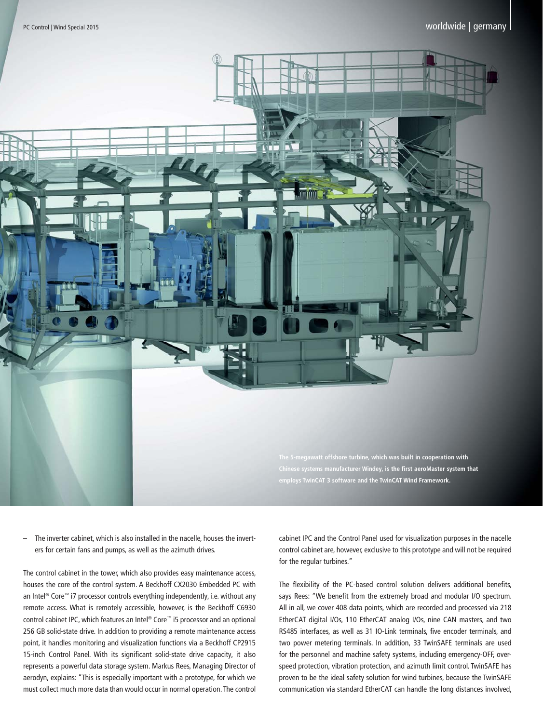

The inverter cabinet, which is also installed in the nacelle, houses the inverters for certain fans and pumps, as well as the azimuth drives.

The control cabinet in the tower, which also provides easy maintenance access, houses the core of the control system. A Beckhoff CX2030 Embedded PC with an Intel<sup>®</sup> Core™ i7 processor controls everything independently, i.e. without any remote access. What is remotely accessible, however, is the Beckhoff C6930 control cabinet IPC, which features an Intel® Core™ i5 processor and an optional 256 GB solid-state drive. In addition to providing a remote maintenance access point, it handles monitoring and visualization functions via a Beckhoff CP2915 15-inch Control Panel. With its significant solid-state drive capacity, it also represents a powerful data storage system. Markus Rees, Managing Director of aerodyn, explains: "This is especially important with a prototype, for which we must collect much more data than would occur in normal operation. The control cabinet IPC and the Control Panel used for visualization purposes in the nacelle control cabinet are, however, exclusive to this prototype and will not be required for the regular turbines."

The flexibility of the PC-based control solution delivers additional benefits, says Rees: "We benefit from the extremely broad and modular I/O spectrum. All in all, we cover 408 data points, which are recorded and processed via 218 EtherCAT digital I/Os, 110 EtherCAT analog I/Os, nine CAN masters, and two RS485 interfaces, as well as 31 IO-Link terminals, five encoder terminals, and two power metering terminals. In addition, 33 TwinSAFE terminals are used for the personnel and machine safety systems, including emergency-OFF, overspeed protection, vibration protection, and azimuth limit control. TwinSAFE has proven to be the ideal safety solution for wind turbines, because the TwinSAFE communication via standard EtherCAT can handle the long distances involved,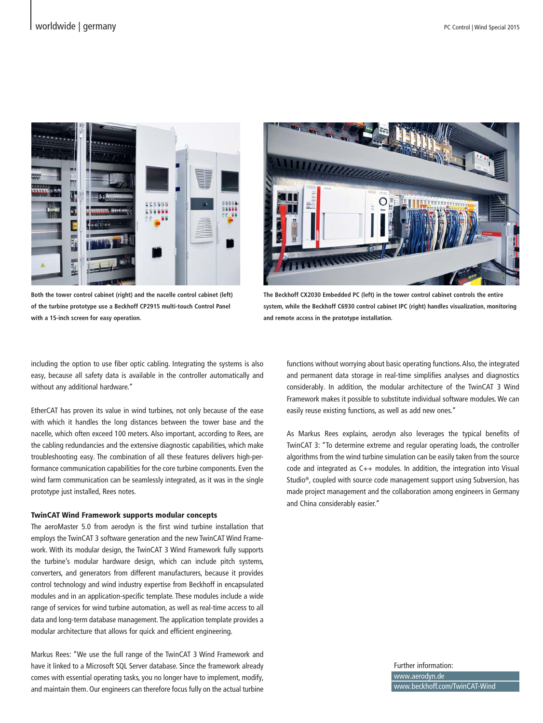

**Both the tower control cabinet (right) and the nacelle control cabinet (left) of the turbine prototype use a Beckhoff CP2915 multi-touch Control Panel with a 15-inch screen for easy operation.**



**The Beckhoff CX2030 Embedded PC (left) in the tower control cabinet controls the entire system, while the Beckhoff C6930 control cabinet IPC (right) handles visualization, monitoring and remote access in the prototype installation.**

including the option to use fiber optic cabling. Integrating the systems is also easy, because all safety data is available in the controller automatically and without any additional hardware."

EtherCAT has proven its value in wind turbines, not only because of the ease with which it handles the long distances between the tower base and the nacelle, which often exceed 100 meters. Also important, according to Rees, are the cabling redundancies and the extensive diagnostic capabilities, which make troubleshooting easy. The combination of all these features delivers high-performance communication capabilities for the core turbine components. Even the wind farm communication can be seamlessly integrated, as it was in the single prototype just installed, Rees notes.

## TwinCAT Wind Framework supports modular concepts

The aeroMaster 5.0 from aerodyn is the first wind turbine installation that employs the TwinCAT 3 software generation and the new TwinCAT Wind Framework. With its modular design, the TwinCAT 3 Wind Framework fully supports the turbine's modular hardware design, which can include pitch systems, converters, and generators from different manufacturers, because it provides control technology and wind industry expertise from Beckhoff in encapsulated modules and in an application-specific template. These modules include a wide range of services for wind turbine automation, as well as real-time access to all data and long-term database management. The application template provides a modular architecture that allows for quick and efficient engineering.

Markus Rees: "We use the full range of the TwinCAT 3 Wind Framework and have it linked to a Microsoft SQL Server database. Since the framework already comes with essential operating tasks, you no longer have to implement, modify, and maintain them. Our engineers can therefore focus fully on the actual turbine

functions without worrying about basic operating functions. Also, the integrated and permanent data storage in real-time simplifies analyses and diagnostics considerably. In addition, the modular architecture of the TwinCAT 3 Wind Framework makes it possible to substitute individual software modules. We can easily reuse existing functions, as well as add new ones."

As Markus Rees explains, aerodyn also leverages the typical benefits of TwinCAT 3: "To determine extreme and regular operating loads, the controller algorithms from the wind turbine simulation can be easily taken from the source code and integrated as C++ modules. In addition, the integration into Visual Studio®, coupled with source code management support using Subversion, has made project management and the collaboration among engineers in Germany and China considerably easier."

> Further information: www.aerodyn.de www.beckhoff.com/TwinCAT-Wind